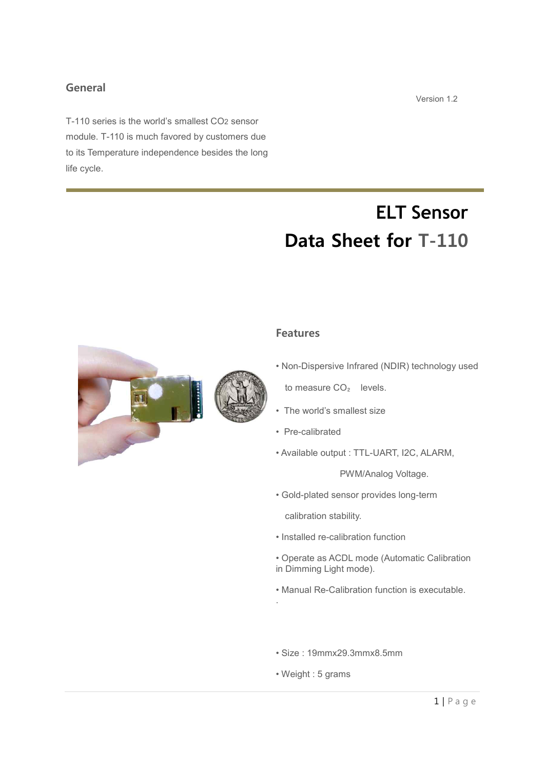## **General**

T-110 series is the world's smallest CO2 sensor module. T-110 is much favored by customers due to its Temperature independence besides the long life cycle.

# **ELT Sensor Data Sheet for T-110**

## **Features**

• Non-Dispersive Infrared (NDIR) technology used

to measure CO<sub>2</sub> levels.

- The world's smallest size
- Pre-calibrated
- Available output : TTL-UART, I2C, ALARM,

PWM/Analog Voltage.

•.Gold-plated sensor provides long-term

calibration stability.

- Installed re-calibration function
- Operate as ACDL mode (Automatic Calibration in Dimming Light mode).
- Manual Re-Calibration function is executable.
- Size : 19mmx29.3mmx8.5mm
- Weight : 5 grams

.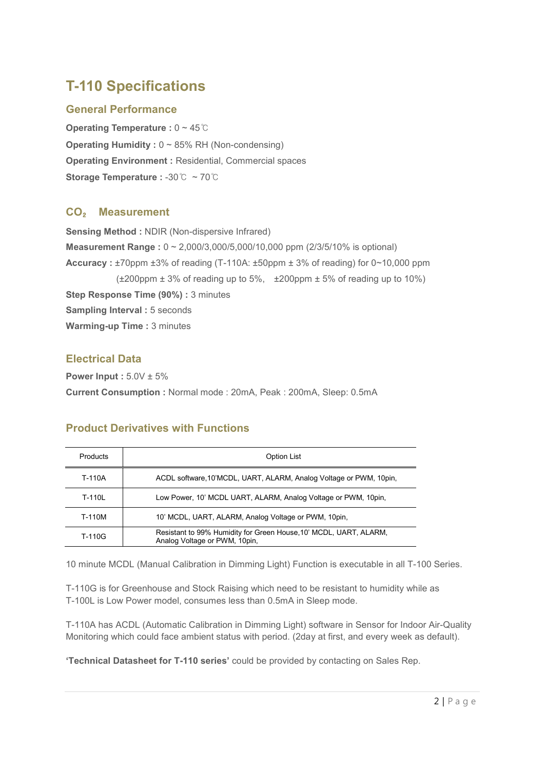## **T-110 Specifications**

## **General Performance**

**Operating Temperature :** 0 ~ 45℃ **Operating Humidity : 0 ~ 85% RH (Non-condensing) Operating Environment :** Residential, Commercial spaces **Storage Temperature :** -30℃ ~ 70℃

## **CO**₂ **Measurement**

**Sensing Method :** NDIR (Non-dispersive Infrared) **Measurement Range** :  $0 \sim 2,000/3,000/5,000/10,000$  ppm (2/3/5/10% is optional) **Accuracy :** ±70ppm ±3% of reading (T-110A: ±50ppm ± 3% of reading) for 0~10,000 ppm  $(\pm 200$ ppm  $\pm 3\%$  of reading up to 5%,  $\pm 200$ ppm  $\pm 5\%$  of reading up to 10%) **Step Response Time (90%) :** 3 minutes **Sampling Interval : 5 seconds Warming-up Time** : 3 minutes

## **Electrical Data**

**Power Input :** 5.0V ± 5% **Current Consumption :** Normal mode : 20mA, Peak : 200mA, Sleep: 0.5mA

## **Product Derivatives with Functions**

| Products | <b>Option List</b>                                                                                 |
|----------|----------------------------------------------------------------------------------------------------|
| T-110A   | ACDL software, 10'MCDL, UART, ALARM, Analog Voltage or PWM, 10pin,                                 |
| T-110L   | Low Power, 10' MCDL UART, ALARM, Analog Voltage or PWM, 10pin,                                     |
| T-110M   | 10' MCDL, UART, ALARM, Analog Voltage or PWM, 10pin,                                               |
| T-110G   | Resistant to 99% Humidity for Green House, 10' MCDL, UART, ALARM,<br>Analog Voltage or PWM, 10pin, |

10 minute MCDL (Manual Calibration in Dimming Light) Function is executable in all T-100 Series.

T-110G is for Greenhouse and Stock Raising which need to be resistant to humidity while as T-100L is Low Power model, consumes less than 0.5mA in Sleep mode.

T-110A has ACDL (Automatic Calibration in Dimming Light) software in Sensor for Indoor Air-Quality Monitoring which could face ambient status with period. (2day at first, and every week as default).

**'Technical Datasheet for T-110 series'** could be provided by contacting on Sales Rep.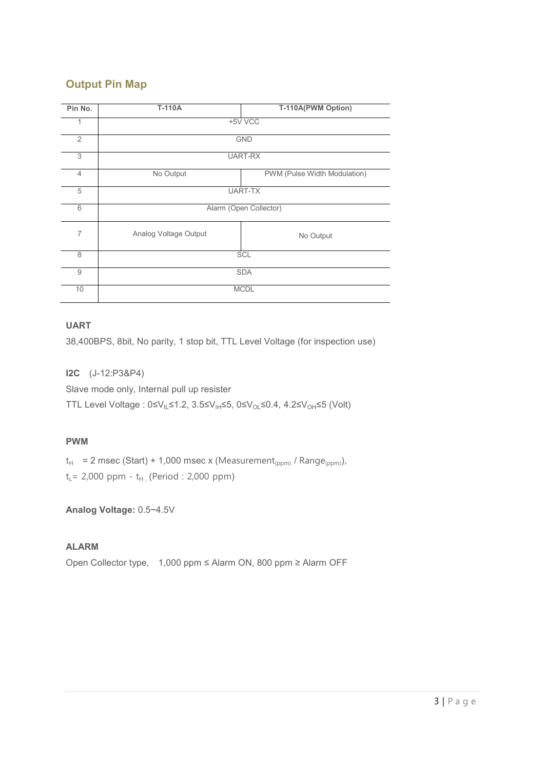## **Output Pin Map**

| Pin No.        | T-110A                | T-110A(PWM Option)           |  |  |  |  |
|----------------|-----------------------|------------------------------|--|--|--|--|
| 1              |                       | +5V VCC                      |  |  |  |  |
| $\overline{2}$ |                       | <b>GND</b>                   |  |  |  |  |
| 3              |                       | <b>UART-RX</b>               |  |  |  |  |
| $\overline{4}$ | No Output             | PWM (Pulse Width Modulation) |  |  |  |  |
| 5              | <b>UART-TX</b>        |                              |  |  |  |  |
| 6              |                       | Alarm (Open Collector)       |  |  |  |  |
| $\overline{7}$ | Analog Voltage Output | No Output                    |  |  |  |  |
| 8              | SCL                   |                              |  |  |  |  |
| 9              |                       | <b>SDA</b>                   |  |  |  |  |
| 10             |                       | <b>MCDL</b>                  |  |  |  |  |

## **UART**

38,400BPS, 8bit, No parity, 1 stop bit, TTL Level Voltage (for inspection use)

**I2C** (J-12:P3&P4) Slave mode only, Internal pull up resister TTL Level Voltage : 0≤V<sub>IL</sub>≤1.2, 3.5≤V<sub>IH</sub>≤5, 0≤V<sub>OL</sub>≤0.4, 4.2≤V<sub>OH</sub>≤5 (Volt)

## **PWM**

 $t_H$  = 2 msec (Start) + 1,000 msec x (Measurement<sub>(ppm)</sub> / Range<sub>(ppm)</sub>),  $t_{L}$  = 2,000 ppm -  $t_{H}$ , (Period : 2,000 ppm)

**Analog Voltage:** 0.5~4.5V

## **ALARM**

Open Collector type, 1,000 ppm ≤ Alarm ON, 800 ppm ≥ Alarm OFF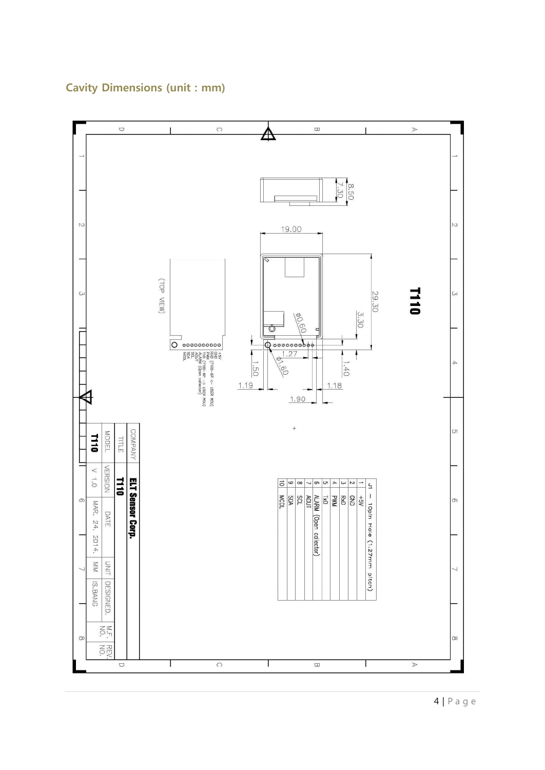

## **Cavity Dimensions (unit : mm)**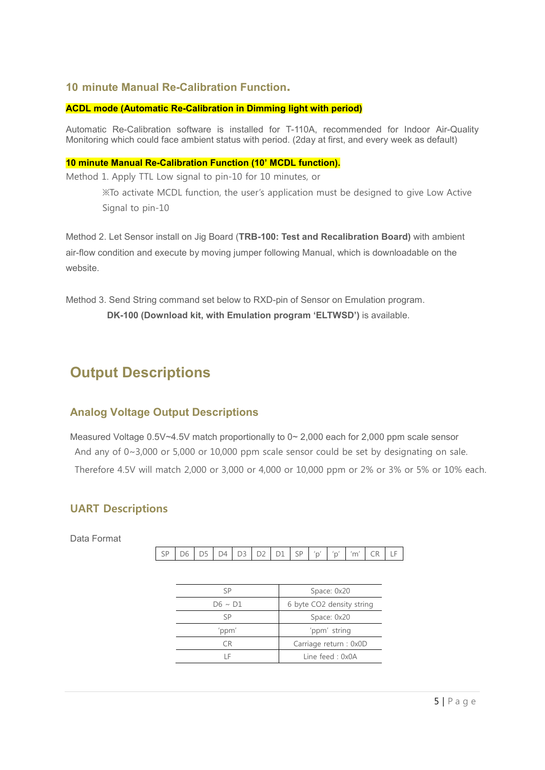## **10 minute Manual Re-Calibration Function.**

#### **ACDL mode (Automatic Re-Calibration in Dimming light with period)**

Automatic Re-Calibration software is installed for T-110A, recommended for Indoor Air-Quality Monitoring which could face ambient status with period. (2day at first, and every week as default)

#### **10 minute Manual Re-Calibration Function (10' MCDL function).**

Method 1. Apply TTL Low signal to pin-10 for 10 minutes, or

※To activate MCDL function, the user's application must be designed to give Low Active Signal to pin-10

Method 2. Let Sensor install on Jig Board (**TRB-100: Test and Recalibration Board)** with ambient air-flow condition and execute by moving jumper following Manual, which is downloadable on the website.

Method 3. Send String command set below to RXD-pin of Sensor on Emulation program. **DK-100 (Download kit, with Emulation program 'ELTWSD')** is available.

## **Output Descriptions**

## **Analog Voltage Output Descriptions**

Measured Voltage  $0.5V \sim 4.5V$  match proportionally to  $0 \sim 2,000$  each for 2,000 ppm scale sensor And any of 0~3,000 or 5,000 or 10,000 ppm scale sensor could be set by designating on sale. Therefore 4.5V will match 2,000 or 3,000 or 4,000 or 10,000 ppm or 2% or 3% or 5% or 10% each.

## **UART Descriptions**

Data Format

SP D6 D5 D4 D3 D2 D1 SP 'p''p' 'm' CR LF

| SР           | Space: 0x20               |
|--------------|---------------------------|
| $D6 \sim D1$ | 6 byte CO2 density string |
| SP           | Space: 0x20               |
| 'ppm'        | 'ppm' string              |
| CΒ           | Carriage return : 0x0D    |
| ΙF           | Line feed: $0x0A$         |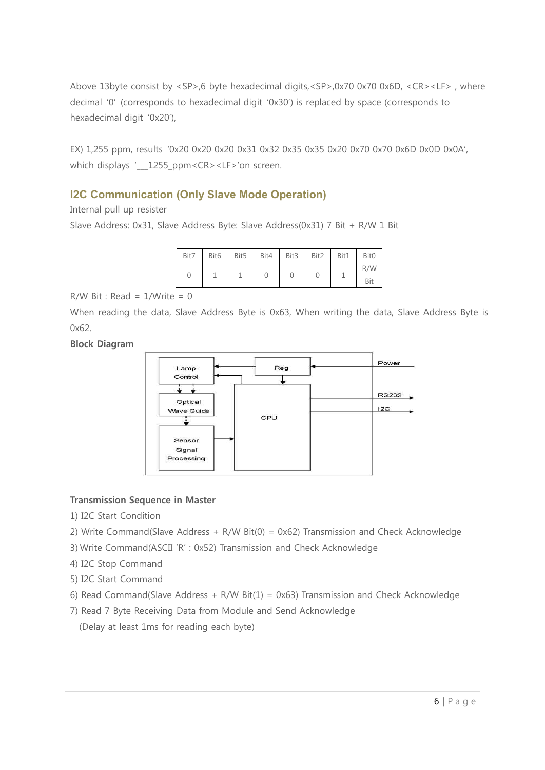Above 13byte consist by <SP>,6 byte hexadecimal digits,<SP>,0x70 0x70 0x6D, <CR><LF> , where decimal '0' (corresponds to hexadecimal digit '0x30') is replaced by space (corresponds to hexadecimal digit '0x20'),

EX) 1,255 ppm, results '0x20 0x20 0x20 0x31 0x32 0x35 0x35 0x20 0x70 0x70 0x6D 0x0D 0x0A', which displays ' \_\_1255\_ppm <CR> <LF>'on screen.

## **I2C Communication (Only Slave Mode Operation)**

Internal pull up resister

Slave Address: 0x31, Slave Address Byte: Slave Address(0x31) 7 Bit + R/W 1 Bit

| Bit7 | Bit <sub>6</sub> | Bit5 | Bit4 | Bit3 | Bit2 | Bit1 | Bit <sub>0</sub> |
|------|------------------|------|------|------|------|------|------------------|
|      |                  |      |      |      |      |      | R/W              |
|      |                  |      |      |      |      |      | Bit              |

 $R/W$  Bit : Read =  $1/W$ rite = 0

When reading the data, Slave Address Byte is 0x63, When writing the data, Slave Address Byte is 0x62.

**Block Diagram**



### **Transmission Sequence in Master**

- 1) I2C Start Condition
- 2) Write Command(Slave Address + R/W Bit(0) = 0x62) Transmission and Check Acknowledge
- 3).Write Command(ASCII 'R' : 0x52) Transmission and Check Acknowledge
- 4) I2C Stop Command
- 5) I2C Start Command
- 6) Read Command(Slave Address + R/W Bit(1) =  $0x63$ ) Transmission and Check Acknowledge
- 7) Read 7 Byte Receiving Data from Module and Send Acknowledge (Delay at least 1ms for reading each byte)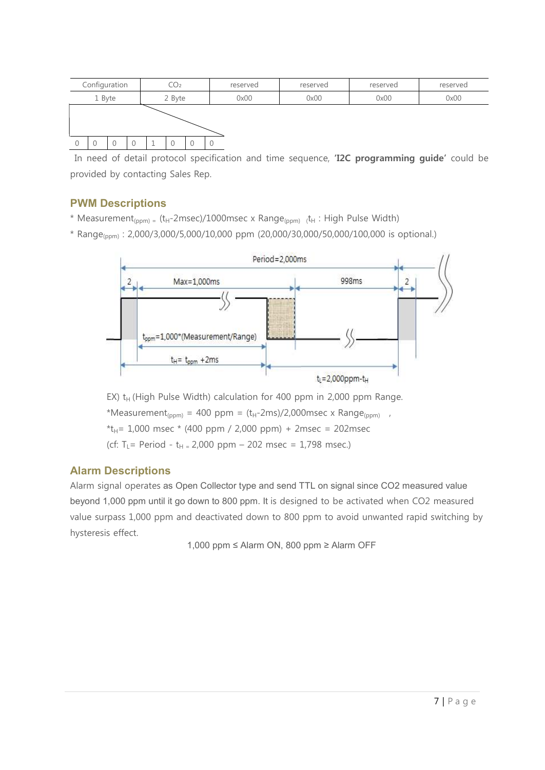

In need of detail protocol specification and time sequence, **'I2C programming guide'** could be provided by contacting Sales Rep.

## **PWM Descriptions**

- \* Measurement<sub>(ppm)</sub> = (t<sub>H</sub>-2msec)/1000msec x Range<sub>(ppm)</sub> t<sub>H</sub>: High Pulse Width)
- $*$  Range<sub>(ppm)</sub>: 2,000/3,000/5,000/10,000 ppm (20,000/30,000/50,000/100,000 is optional.)



EX)  $t_H$  (High Pulse Width) calculation for 400 ppm in 2,000 ppm Range. \*Measurement<sub>(ppm)</sub> = 400 ppm =  $(t_H-2ms)/2,000msec \times Range_{(ppm)}$ ,<br>\* $t_H= 1,000$  msec \* (400 ppm / 2,000 ppm) + 2msec = 202msec (cf: T<sub>L</sub> = Period - t<sub>H =</sub> 2,000 ppm – 202 msec = 1,798 msec.)

## **Alarm Descriptions**

Alarm signal operates as Open Collector type and send TTL on signal since CO2 measured value beyond 1,000 ppm until it go down to 800 ppm. It is designed to be activated when CO2 measured value surpass 1,000 ppm and deactivated down to 800 ppm to avoid unwanted rapid switching by hysteresis effect.

1,000 ppm ≤ Alarm ON, 800 ppm ≥ Alarm OFF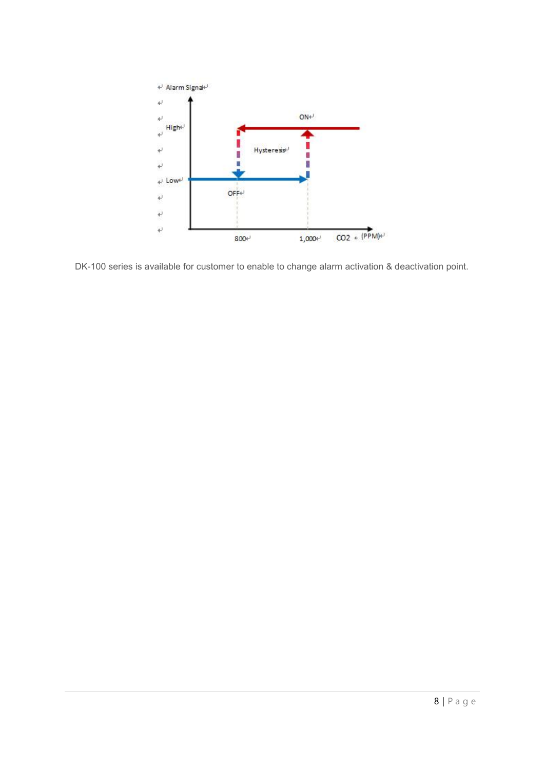

DK-100 series is available for customer to enable to change alarm activation & deactivation point.